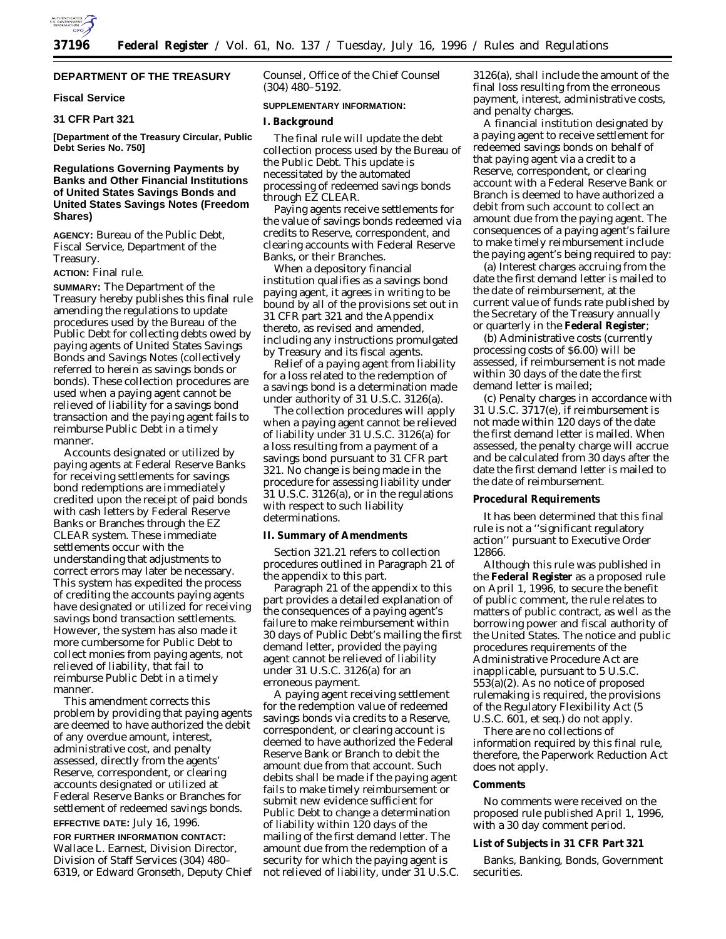

# **DEPARTMENT OF THE TREASURY**

#### **Fiscal Service**

# **31 CFR Part 321**

**[Department of the Treasury Circular, Public Debt Series No. 750]**

### **Regulations Governing Payments by Banks and Other Financial Institutions of United States Savings Bonds and United States Savings Notes (Freedom Shares)**

**AGENCY:** Bureau of the Public Debt, Fiscal Service, Department of the Treasury.

**ACTION:** Final rule.

**SUMMARY:** The Department of the Treasury hereby publishes this final rule amending the regulations to update procedures used by the Bureau of the Public Debt for collecting debts owed by paying agents of United States Savings Bonds and Savings Notes (collectively referred to herein as savings bonds or bonds). These collection procedures are used when a paying agent cannot be relieved of liability for a savings bond transaction and the paying agent fails to reimburse Public Debt in a timely manner.

Accounts designated or utilized by paying agents at Federal Reserve Banks for receiving settlements for savings bond redemptions are immediately credited upon the receipt of paid bonds with cash letters by Federal Reserve Banks or Branches through the EZ CLEAR system. These immediate settlements occur with the understanding that adjustments to correct errors may later be necessary. This system has expedited the process of crediting the accounts paying agents have designated or utilized for receiving savings bond transaction settlements. However, the system has also made it more cumbersome for Public Debt to collect monies from paying agents, not relieved of liability, that fail to reimburse Public Debt in a timely manner.

This amendment corrects this problem by providing that paying agents are deemed to have authorized the debit of any overdue amount, interest, administrative cost, and penalty assessed, directly from the agents' Reserve, correspondent, or clearing accounts designated or utilized at Federal Reserve Banks or Branches for settlement of redeemed savings bonds. **EFFECTIVE DATE:** July 16, 1996.

# **FOR FURTHER INFORMATION CONTACT:** Wallace L. Earnest, Division Director, Division of Staff Services (304) 480– 6319, or Edward Gronseth, Deputy Chief

Counsel, Office of the Chief Counsel (304) 480–5192.

#### **SUPPLEMENTARY INFORMATION:**

### **I. Background**

The final rule will update the debt collection process used by the Bureau of the Public Debt. This update is necessitated by the automated processing of redeemed savings bonds through EZ CLEAR.

Paying agents receive settlements for the value of savings bonds redeemed via credits to Reserve, correspondent, and clearing accounts with Federal Reserve Banks, or their Branches.

When a depository financial institution qualifies as a savings bond paying agent, it agrees in writing to be bound by all of the provisions set out in 31 CFR part 321 and the Appendix thereto, as revised and amended, including any instructions promulgated by Treasury and its fiscal agents.

Relief of a paying agent from liability for a loss related to the redemption of a savings bond is a determination made under authority of 31 U.S.C. 3126(a).

The collection procedures will apply when a paying agent cannot be relieved of liability under 31 U.S.C. 3126(a) for a loss resulting from a payment of a savings bond pursuant to 31 CFR part 321. No change is being made in the procedure for assessing liability under 31 U.S.C. 3126(a), or in the regulations with respect to such liability determinations.

#### **II. Summary of Amendments**

Section 321.21 refers to collection procedures outlined in Paragraph 21 of the appendix to this part.

Paragraph 21 of the appendix to this part provides a detailed explanation of the consequences of a paying agent's failure to make reimbursement within 30 days of Public Debt's mailing the first demand letter, provided the paying agent cannot be relieved of liability under 31 U.S.C. 3126(a) for an erroneous payment.

A paying agent receiving settlement for the redemption value of redeemed savings bonds via credits to a Reserve, correspondent, or clearing account is deemed to have authorized the Federal Reserve Bank or Branch to debit the amount due from that account. Such debits shall be made if the paying agent fails to make timely reimbursement or submit new evidence sufficient for Public Debt to change a determination of liability within 120 days of the mailing of the first demand letter. The amount due from the redemption of a security for which the paying agent is not relieved of liability, under 31 U.S.C. 3126(a), shall include the amount of the final loss resulting from the erroneous payment, interest, administrative costs, and penalty charges.

A financial institution designated by a paying agent to receive settlement for redeemed savings bonds on behalf of that paying agent via a credit to a Reserve, correspondent, or clearing account with a Federal Reserve Bank or Branch is deemed to have authorized a debit from such account to collect an amount due from the paying agent. The consequences of a paying agent's failure to make timely reimbursement include the paying agent's being required to pay:

(a) Interest charges accruing from the date the first demand letter is mailed to the date of reimbursement, at the current value of funds rate published by the Secretary of the Treasury annually or quarterly in the **Federal Register**;

(b) Administrative costs (currently processing costs of \$6.00) will be assessed, if reimbursement is not made within 30 days of the date the first demand letter is mailed;

(c) Penalty charges in accordance with 31 U.S.C. 3717(e), if reimbursement is not made within 120 days of the date the first demand letter is mailed. When assessed, the penalty charge will accrue and be calculated from 30 days after the date the first demand letter is mailed to the date of reimbursement.

### **Procedural Requirements**

It has been determined that this final rule is not a ''significant regulatory action'' pursuant to Executive Order 12866.

Although this rule was published in the **Federal Register** as a proposed rule on April 1, 1996, to secure the benefit of public comment, the rule relates to matters of public contract, as well as the borrowing power and fiscal authority of the United States. The notice and public procedures requirements of the Administrative Procedure Act are inapplicable, pursuant to 5 U.S.C. 553(a)(2). As no notice of proposed rulemaking is required, the provisions of the Regulatory Flexibility Act (5 U.S.C. 601, *et seq.*) do not apply.

There are no collections of information required by this final rule, therefore, the Paperwork Reduction Act does not apply.

### **Comments**

No comments were received on the proposed rule published April 1, 1996, with a 30 day comment period.

#### **List of Subjects in 31 CFR Part 321**

Banks, Banking, Bonds, Government securities.